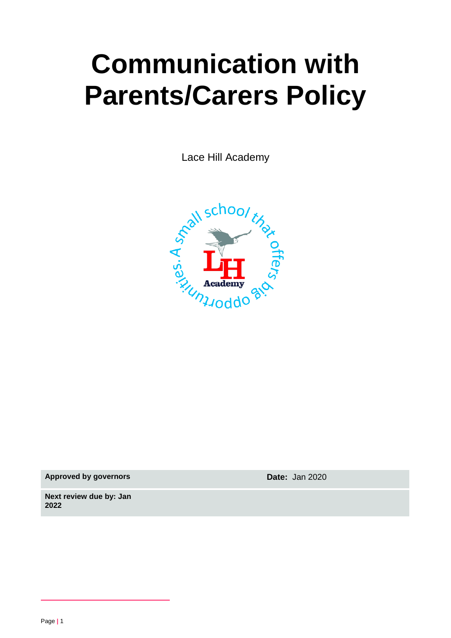# **Communication with Parents/Carers Policy**

Lace Hill Academy



**Approved by governors Date:** Jan 2020

**Next review due by: Jan 2022**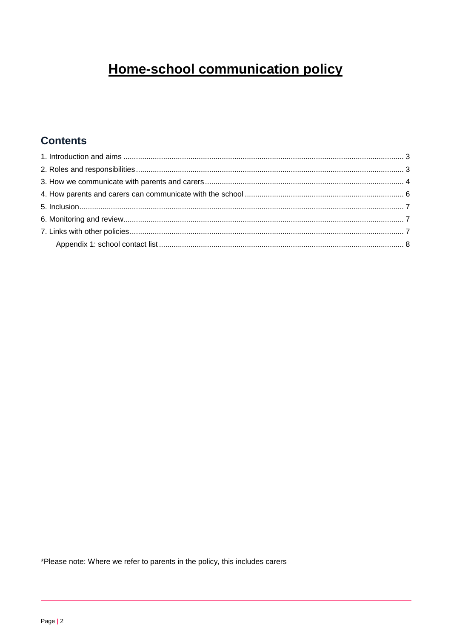## **Home-school communication policy**

## **Contents**

\*Please note: Where we refer to parents in the policy, this includes carers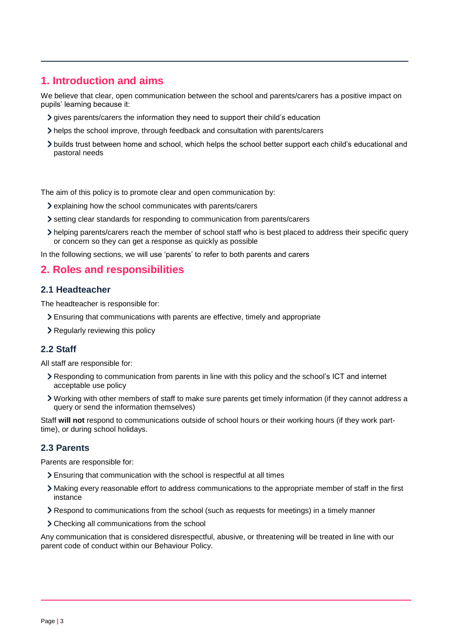## <span id="page-2-0"></span>**1. Introduction and aims**

We believe that clear, open communication between the school and parents/carers has a positive impact on pupils' learning because it:

- gives parents/carers the information they need to support their child's education
- helps the school improve, through feedback and consultation with parents/carers
- builds trust between home and school, which helps the school better support each child's educational and pastoral needs

The aim of this policy is to promote clear and open communication by:

- explaining how the school communicates with parents/carers
- setting clear standards for responding to communication from parents/carers
- helping parents/carers reach the member of school staff who is best placed to address their specific query or concern so they can get a response as quickly as possible

In the following sections, we will use 'parents' to refer to both parents and carers

## <span id="page-2-1"></span>**2. Roles and responsibilities**

#### **2.1 Headteacher**

The headteacher is responsible for:

- Ensuring that communications with parents are effective, timely and appropriate
- > Regularly reviewing this policy

#### **2.2 Staff**

All staff are responsible for:

- Responding to communication from parents in line with this policy and the school's ICT and internet acceptable use policy
- Working with other members of staff to make sure parents get timely information (if they cannot address a query or send the information themselves)

Staff **will not** respond to communications outside of school hours or their working hours (if they work parttime), or during school holidays.

#### **2.3 Parents**

Parents are responsible for:

- Ensuring that communication with the school is respectful at all times
- Making every reasonable effort to address communications to the appropriate member of staff in the first instance
- Respond to communications from the school (such as requests for meetings) in a timely manner
- Checking all communications from the school

Any communication that is considered disrespectful, abusive, or threatening will be treated in line with our parent code of conduct within our Behaviour Policy.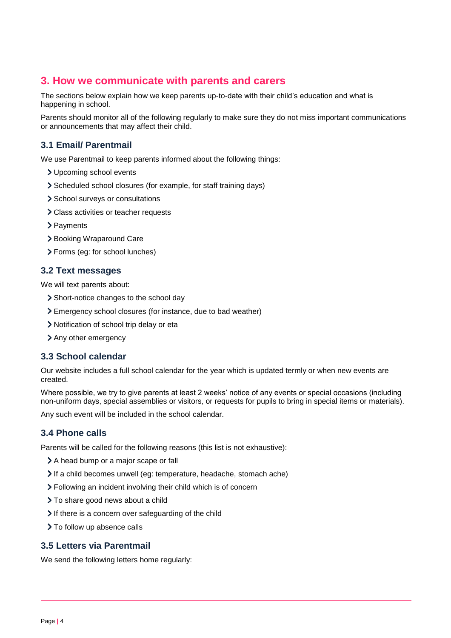### <span id="page-3-0"></span>**3. How we communicate with parents and carers**

The sections below explain how we keep parents up-to-date with their child's education and what is happening in school.

Parents should monitor all of the following regularly to make sure they do not miss important communications or announcements that may affect their child.

#### **3.1 Email/ Parentmail**

We use Parentmail to keep parents informed about the following things:

- Upcoming school events
- Scheduled school closures (for example, for staff training days)
- > School surveys or consultations
- Class activities or teacher requests
- > Payments
- > Booking Wraparound Care
- Forms (eg: for school lunches)

#### **3.2 Text messages**

We will text parents about:

- > Short-notice changes to the school day
- Emergency school closures (for instance, due to bad weather)
- Notification of school trip delay or eta
- > Any other emergency

#### **3.3 School calendar**

Our website includes a full school calendar for the year which is updated termly or when new events are created.

Where possible, we try to give parents at least 2 weeks' notice of any events or special occasions (including non-uniform days, special assemblies or visitors, or requests for pupils to bring in special items or materials).

Any such event will be included in the school calendar.

#### **3.4 Phone calls**

Parents will be called for the following reasons (this list is not exhaustive):

- A head bump or a major scape or fall
- If a child becomes unwell (eg: temperature, headache, stomach ache)
- Following an incident involving their child which is of concern
- > To share good news about a child
- If there is a concern over safeguarding of the child
- > To follow up absence calls

#### **3.5 Letters via Parentmail**

We send the following letters home regularly: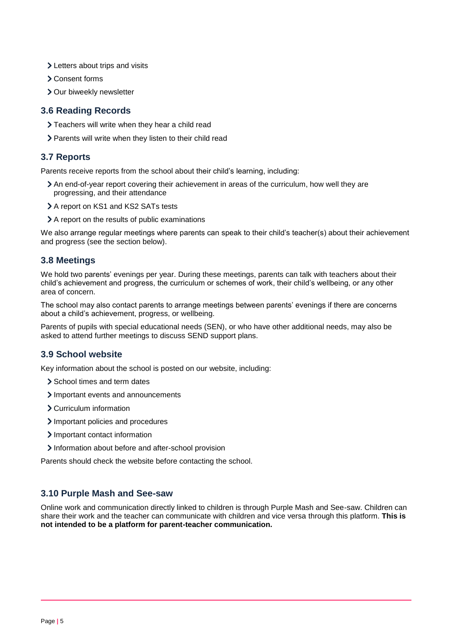- > Letters about trips and visits
- Consent forms
- > Our biweekly newsletter

#### **3.6 Reading Records**

- Teachers will write when they hear a child read
- > Parents will write when they listen to their child read

#### **3.7 Reports**

Parents receive reports from the school about their child's learning, including:

- An end-of-year report covering their achievement in areas of the curriculum, how well they are progressing, and their attendance
- > A report on KS1 and KS2 SATs tests
- A report on the results of public examinations

We also arrange regular meetings where parents can speak to their child's teacher(s) about their achievement and progress (see the section below).

#### **3.8 Meetings**

We hold two parents' evenings per year. During these meetings, parents can talk with teachers about their child's achievement and progress, the curriculum or schemes of work, their child's wellbeing, or any other area of concern.

The school may also contact parents to arrange meetings between parents' evenings if there are concerns about a child's achievement, progress, or wellbeing.

Parents of pupils with special educational needs (SEN), or who have other additional needs, may also be asked to attend further meetings to discuss SEND support plans.

#### **3.9 School website**

Key information about the school is posted on our website, including:

- > School times and term dates
- Important events and announcements
- Curriculum information
- > Important policies and procedures
- > Important contact information
- Information about before and after-school provision

Parents should check the website before contacting the school.

#### **3.10 Purple Mash and See-saw**

Online work and communication directly linked to children is through Purple Mash and See-saw. Children can share their work and the teacher can communicate with children and vice versa through this platform. **This is not intended to be a platform for parent-teacher communication.**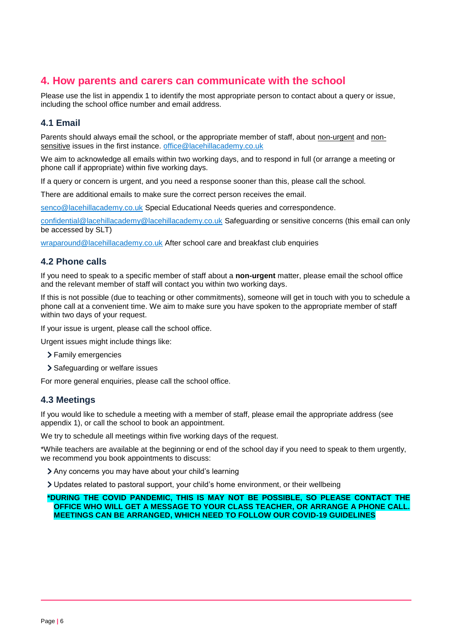## <span id="page-5-0"></span>**4. How parents and carers can communicate with the school**

Please use the list in appendix 1 to identify the most appropriate person to contact about a query or issue, including the school office number and email address.

#### **4.1 Email**

Parents should always email the school, or the appropriate member of staff, about non-urgent and nonsensitive issues in the first instance. [office@lacehillacademy.co.uk](mailto:office@lacehillacademy.co.uk)

We aim to acknowledge all emails within two working days, and to respond in full (or arrange a meeting or phone call if appropriate) within five working days.

If a query or concern is urgent, and you need a response sooner than this, please call the school.

There are additional emails to make sure the correct person receives the email.

[senco@lacehillacademy.co.uk](mailto:senco@lacehillacademy.co.uk) Special Educational Needs queries and correspondence.

[confidential@lacehillacademy@lacehillacademy.co.uk](mailto:confidential@lacehillacademy@lacehillacademy.co.uk) Safeguarding or sensitive concerns (this email can only be accessed by SLT)

[wraparound@lacehillacademy.co.uk](mailto:wraparound@lacehillacademy.co.uk) After school care and breakfast club enquiries

#### **4.2 Phone calls**

If you need to speak to a specific member of staff about a **non-urgent** matter, please email the school office and the relevant member of staff will contact you within two working days.

If this is not possible (due to teaching or other commitments), someone will get in touch with you to schedule a phone call at a convenient time. We aim to make sure you have spoken to the appropriate member of staff within two days of your request.

If your issue is urgent, please call the school office.

Urgent issues might include things like:

- > Family emergencies
- > Safeguarding or welfare issues

For more general enquiries, please call the school office.

#### **4.3 Meetings**

If you would like to schedule a meeting with a member of staff, please email the appropriate address (see appendix 1), or call the school to book an appointment.

We try to schedule all meetings within five working days of the request.

\*While teachers are available at the beginning or end of the school day if you need to speak to them urgently, we recommend you book appointments to discuss:

Any concerns you may have about your child's learning

Updates related to pastoral support, your child's home environment, or their wellbeing

**\*DURING THE COVID PANDEMIC, THIS IS MAY NOT BE POSSIBLE, SO PLEASE CONTACT THE OFFICE WHO WILL GET A MESSAGE TO YOUR CLASS TEACHER, OR ARRANGE A PHONE CALL. MEETINGS CAN BE ARRANGED, WHICH NEED TO FOLLOW OUR COVID-19 GUIDELINES**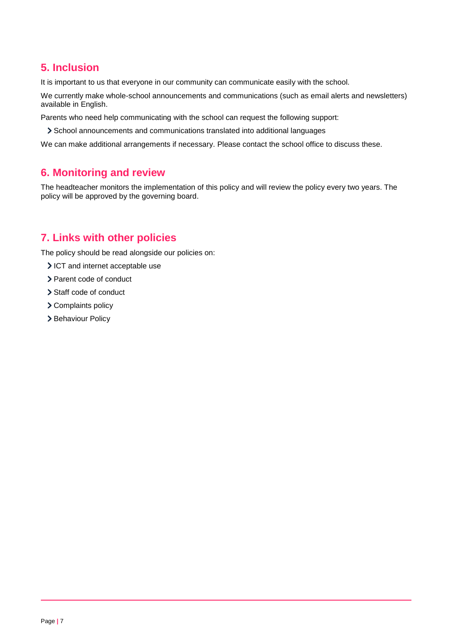## <span id="page-6-0"></span>**5. Inclusion**

It is important to us that everyone in our community can communicate easily with the school.

We currently make whole-school announcements and communications (such as email alerts and newsletters) available in English.

Parents who need help communicating with the school can request the following support:

School announcements and communications translated into additional languages

We can make additional arrangements if necessary. Please contact the school office to discuss these.

## <span id="page-6-1"></span>**6. Monitoring and review**

The headteacher monitors the implementation of this policy and will review the policy every two years. The policy will be approved by the governing board.

## <span id="page-6-2"></span>**7. Links with other policies**

The policy should be read alongside our policies on:

- ICT and internet acceptable use
- > Parent code of conduct
- > Staff code of conduct
- > Complaints policy
- > Behaviour Policy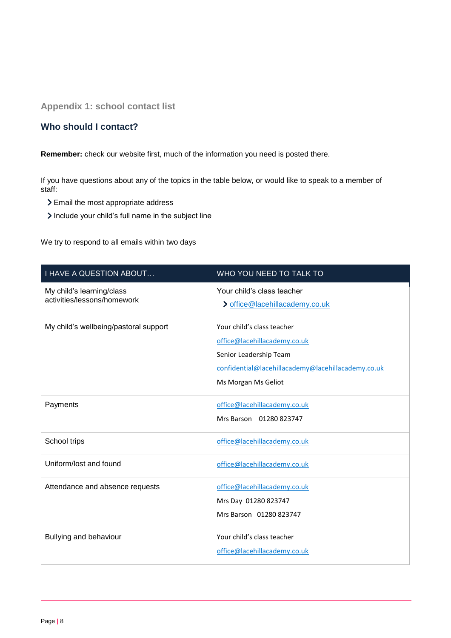<span id="page-7-0"></span>**Appendix 1: school contact list**

#### **Who should I contact?**

**Remember:** check our website first, much of the information you need is posted there.

If you have questions about any of the topics in the table below, or would like to speak to a member of staff:

- > Email the most appropriate address
- Include your child's full name in the subject line

We try to respond to all emails within two days

| <b>I HAVE A QUESTION ABOUT</b>                           | WHO YOU NEED TO TALK TO                                                                                                                                           |
|----------------------------------------------------------|-------------------------------------------------------------------------------------------------------------------------------------------------------------------|
| My child's learning/class<br>activities/lessons/homework | Your child's class teacher<br>> office@lacehillacademy.co.uk                                                                                                      |
| My child's wellbeing/pastoral support                    | Your child's class teacher<br>office@lacehillacademy.co.uk<br>Senior Leadership Team<br>confidential@lacehillacademy@lacehillacademy.co.uk<br>Ms Morgan Ms Geliot |
| Payments                                                 | office@lacehillacademy.co.uk<br>Mrs Barson 01280 823747                                                                                                           |
| School trips                                             | office@lacehillacademy.co.uk                                                                                                                                      |
| Uniform/lost and found                                   | office@lacehillacademy.co.uk                                                                                                                                      |
| Attendance and absence requests                          | office@lacehillacademy.co.uk<br>Mrs Day 01280 823747<br>Mrs Barson 01280 823747                                                                                   |
| Bullying and behaviour                                   | Your child's class teacher<br>office@lacehillacademy.co.uk                                                                                                        |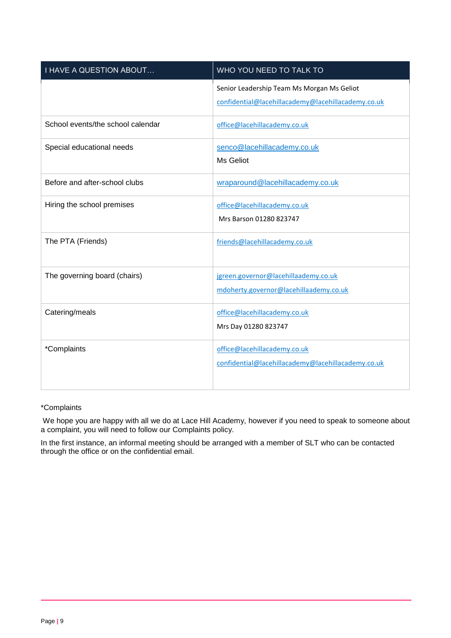| <b>I HAVE A QUESTION ABOUT</b>    | WHO YOU NEED TO TALK TO                                                                          |
|-----------------------------------|--------------------------------------------------------------------------------------------------|
|                                   | Senior Leadership Team Ms Morgan Ms Geliot<br>confidential@lacehillacademy@lacehillacademy.co.uk |
| School events/the school calendar | office@lacehillacademy.co.uk                                                                     |
| Special educational needs         | senco@lacehillacademy.co.uk<br>Ms Geliot                                                         |
| Before and after-school clubs     | wraparound@lacehillacademy.co.uk                                                                 |
| Hiring the school premises        | office@lacehillacademy.co.uk<br>Mrs Barson 01280 823747                                          |
| The PTA (Friends)                 | friends@lacehillacademy.co.uk                                                                    |
| The governing board (chairs)      | jgreen.governor@lacehillaademy.co.uk<br>mdoherty.governor@lacehillaademy.co.uk                   |
| Catering/meals                    | office@lacehillacademy.co.uk<br>Mrs Day 01280 823747                                             |
| *Complaints                       | office@lacehillacademy.co.uk<br>confidential@lacehillacademy@lacehillacademy.co.uk               |

#### \*Complaints

We hope you are happy with all we do at Lace Hill Academy, however if you need to speak to someone about a complaint, you will need to follow our Complaints policy.

In the first instance, an informal meeting should be arranged with a member of SLT who can be contacted through the office or on the confidential email.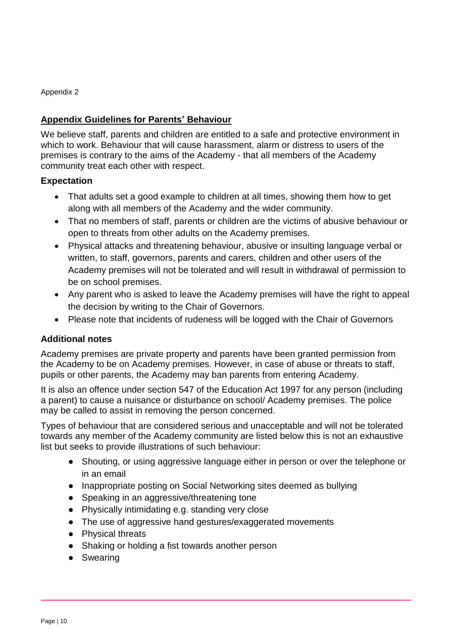Appendix 2

#### **Appendix Guidelines for Parents' Behaviour**

We believe staff, parents and children are entitled to a safe and protective environment in which to work. Behaviour that will cause harassment, alarm or distress to users of the premises is contrary to the aims of the Academy - that all members of the Academy community treat each other with respect.

#### **Expectation**

- That adults set a good example to children at all times, showing them how to get along with all members of the Academy and the wider community.
- That no members of staff, parents or children are the victims of abusive behaviour or open to threats from other adults on the Academy premises.
- Physical attacks and threatening behaviour, abusive or insulting language verbal or written, to staff, governors, parents and carers, children and other users of the Academy premises will not be tolerated and will result in withdrawal of permission to be on school premises.
- Any parent who is asked to leave the Academy premises will have the right to appeal the decision by writing to the Chair of Governors.
- Please note that incidents of rudeness will be logged with the Chair of Governors

#### **Additional notes**

Academy premises are private property and parents have been granted permission from the Academy to be on Academy premises. However, in case of abuse or threats to staff, pupils or other parents, the Academy may ban parents from entering Academy.

It is also an offence under section 547 of the Education Act 1997 for any person (including a parent) to cause a nuisance or disturbance on school/ Academy premises. The police may be called to assist in removing the person concerned.

Types of behaviour that are considered serious and unacceptable and will not be tolerated towards any member of the Academy community are listed below this is not an exhaustive list but seeks to provide illustrations of such behaviour:

- Shouting, or using aggressive language either in person or over the telephone or in an email
- Inappropriate posting on Social Networking sites deemed as bullying
- Speaking in an aggressive/threatening tone
- Physically intimidating e.g. standing very close
- The use of aggressive hand gestures/exaggerated movements
- Physical threats
- Shaking or holding a fist towards another person
- Swearing